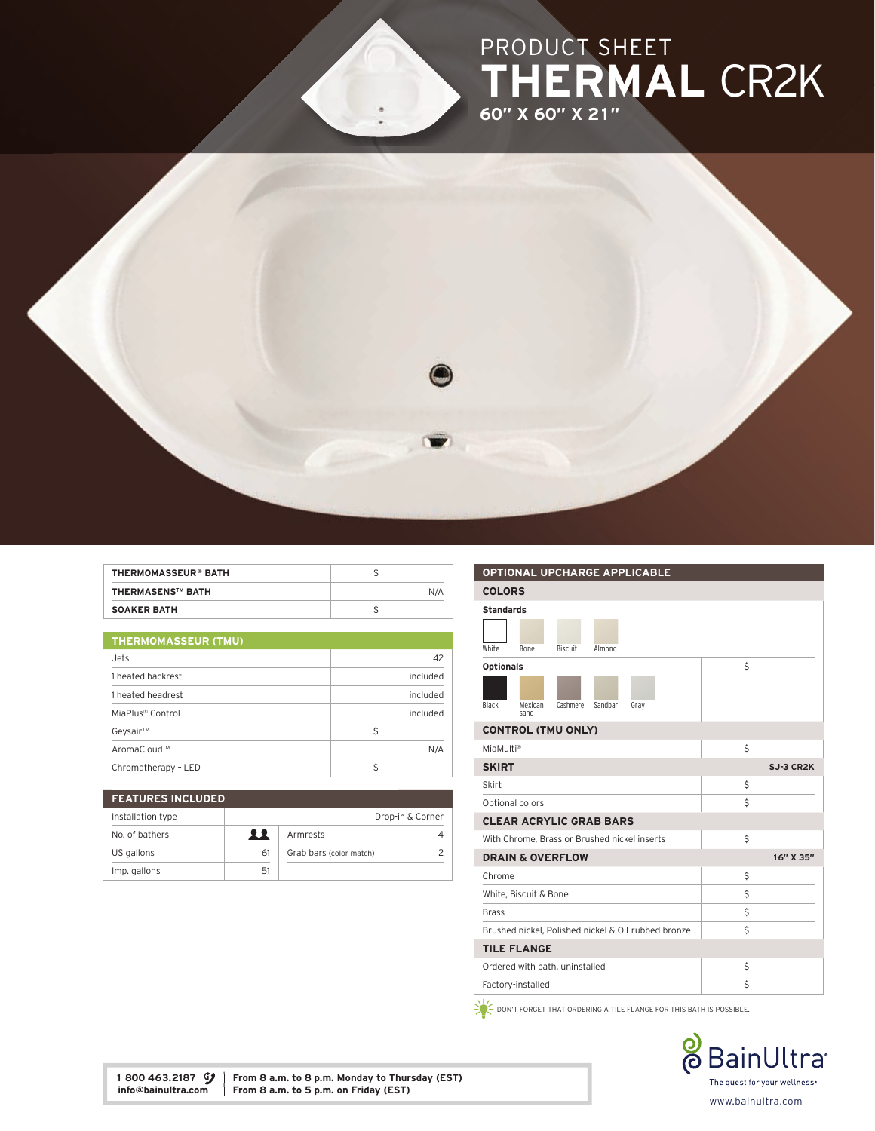## PRODUCT SHEET THERMAL CR2K 60" X 60" X 21"



| <b>THERMOMASSEUR® BATH</b> |     |
|----------------------------|-----|
| <b>THERMASENS™ BATH</b>    | N/A |
| <b>SOAKER BATH</b>         |     |

| <b>THERMOMASSEUR (TMU)</b>   |          |  |
|------------------------------|----------|--|
| Jets                         | 42       |  |
| 1 heated backrest            | included |  |
| 1 heated headrest            | included |  |
| MiaPlus <sup>®</sup> Control | included |  |
| Geysair™                     | Ŝ        |  |
| AromaCloud™                  | N/A      |  |
| Chromatherapy - LED          |          |  |

| <b>FEATURES INCLUDED</b> |                  |                         |  |
|--------------------------|------------------|-------------------------|--|
| Installation type        | Drop-in & Corner |                         |  |
| No. of bathers           | 22               | Armrests                |  |
| US gallons               | 61               | Grab bars (color match) |  |
| Imp. gallons             | .51              |                         |  |

| <b>OPTIONAL UPCHARGE APPLICABLE</b>                     |           |
|---------------------------------------------------------|-----------|
| <b>COLORS</b>                                           |           |
| <b>Standards</b>                                        |           |
| White<br><b>Biscuit</b><br>Almond<br><b>Bone</b>        |           |
| <b>Optionals</b>                                        | Ś         |
| Black<br>Cashmere<br>Sandbar<br>Gray<br>Mexican<br>sand |           |
| <b>CONTROL (TMU ONLY)</b>                               |           |
| MiaMulti <sup>®</sup>                                   | Ś         |
| <b>SKIRT</b>                                            | SJ-3 CR2K |
| Skirt                                                   | \$        |
| Optional colors                                         | Ś         |
| <b>CLEAR ACRYLIC GRAB BARS</b>                          |           |
| With Chrome, Brass or Brushed nickel inserts            | \$        |
| <b>DRAIN &amp; OVERFLOW</b>                             | 16" X 35" |
| Chrome                                                  | Ś         |
| White, Biscuit & Bone                                   | Ś         |
| <b>Brass</b>                                            | \$        |
| Brushed nickel, Polished nickel & Oil-rubbed bronze     | Ś         |
| <b>TILE FLANGE</b>                                      |           |
| Ordered with bath, uninstalled                          | \$        |
| Factory-installed                                       | Ś         |

 $\geq$   $\geq$  don't forget that ordering a tile flange for this bath is possible.